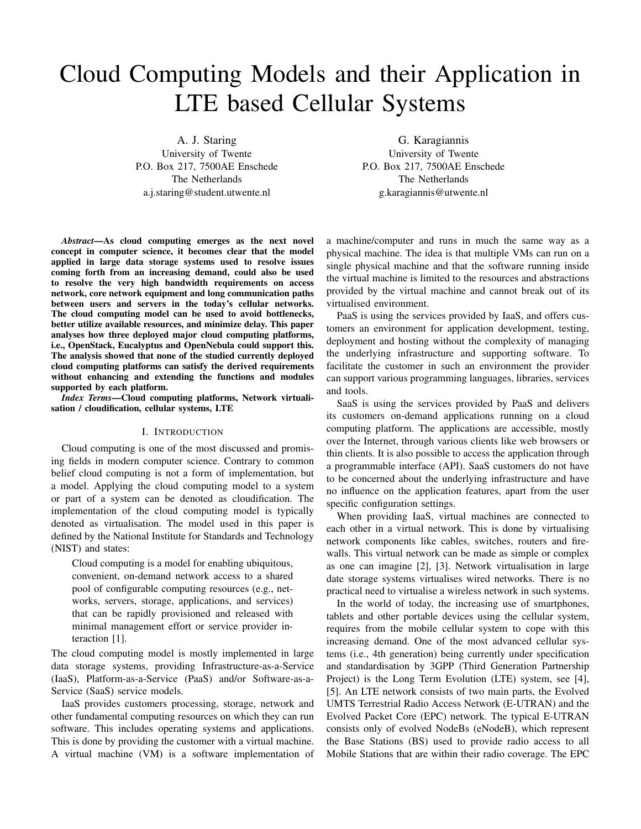# Cloud Computing Models and their Application in LTE based Cellular Systems

A. J. Staring University of Twente P.O. Box 217, 7500AE Enschede The Netherlands a.j.staring@student.utwente.nl

G. Karagiannis University of Twente P.O. Box 217, 7500AE Enschede The Netherlands g.karagiannis@utwente.nl

*Abstract*—As cloud computing emerges as the next novel concept in computer science, it becomes clear that the model applied in large data storage systems used to resolve issues coming forth from an increasing demand, could also be used to resolve the very high bandwidth requirements on access network, core network equipment and long communication paths between users and servers in the today's cellular networks. The cloud computing model can be used to avoid bottlenecks, better utilize available resources, and minimize delay. This paper analyses how three deployed major cloud computing platforms, i.e., OpenStack, Eucalyptus and OpenNebula could support this. The analysis showed that none of the studied currently deployed cloud computing platforms can satisfy the derived requirements without enhancing and extending the functions and modules supported by each platform.

*Index Terms*—Cloud computing platforms, Network virtualisation / cloudification, cellular systems, LTE

# I. INTRODUCTION

Cloud computing is one of the most discussed and promising fields in modern computer science. Contrary to common belief cloud computing is not a form of implementation, but a model. Applying the cloud computing model to a system or part of a system can be denoted as cloudification. The implementation of the cloud computing model is typically denoted as virtualisation. The model used in this paper is defined by the National Institute for Standards and Technology (NIST) and states:

Cloud computing is a model for enabling ubiquitous, convenient, on-demand network access to a shared pool of configurable computing resources (e.g., networks, servers, storage, applications, and services) that can be rapidly provisioned and released with minimal management effort or service provider interaction [1].

The cloud computing model is mostly implemented in large data storage systems, providing Infrastructure-as-a-Service (IaaS), Platform-as-a-Service (PaaS) and/or Software-as-a-Service (SaaS) service models.

IaaS provides customers processing, storage, network and other fundamental computing resources on which they can run software. This includes operating systems and applications. This is done by providing the customer with a virtual machine. A virtual machine (VM) is a software implementation of a machine/computer and runs in much the same way as a physical machine. The idea is that multiple VMs can run on a single physical machine and that the software running inside the virtual machine is limited to the resources and abstractions provided by the virtual machine and cannot break out of its virtualised environment.

PaaS is using the services provided by IaaS, and offers customers an environment for application development, testing, deployment and hosting without the complexity of managing the underlying infrastructure and supporting software. To facilitate the customer in such an environment the provider can support various programming languages, libraries, services and tools.

SaaS is using the services provided by PaaS and delivers its customers on-demand applications running on a cloud computing platform. The applications are accessible, mostly over the Internet, through various clients like web browsers or thin clients. It is also possible to access the application through a programmable interface (API). SaaS customers do not have to be concerned about the underlying infrastructure and have no influence on the application features, apart from the user specific configuration settings.

When providing IaaS, virtual machines are connected to each other in a virtual network. This is done by virtualising network components like cables, switches, routers and firewalls. This virtual network can be made as simple or complex as one can imagine [2], [3]. Network virtualisation in large date storage systems virtualises wired networks. There is no practical need to virtualise a wireless network in such systems.

In the world of today, the increasing use of smartphones, tablets and other portable devices using the cellular system, requires from the mobile cellular system to cope with this increasing demand. One of the most advanced cellular systems (i.e., 4th generation) being currently under specification and standardisation by 3GPP (Third Generation Partnership Project) is the Long Term Evolution (LTE) system, see [4], [5]. An LTE network consists of two main parts, the Evolved UMTS Terrestrial Radio Access Network (E-UTRAN) and the Evolved Packet Core (EPC) network. The typical E-UTRAN consists only of evolved NodeBs (eNodeB), which represent the Base Stations (BS) used to provide radio access to all Mobile Stations that are within their radio coverage. The EPC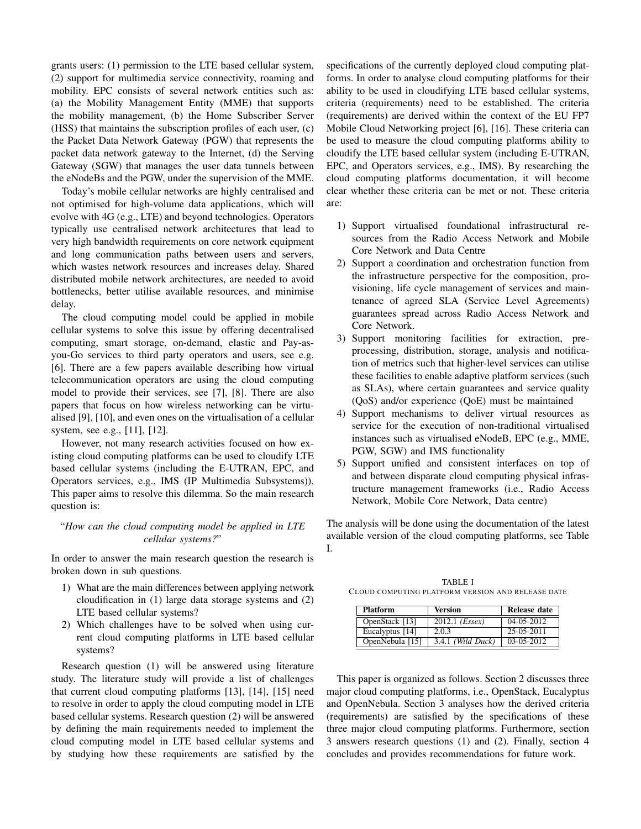grants users: (1) permission to the LTE based cellular system, (2) support for multimedia service connectivity, roaming and mobility. EPC consists of several network entities such as: (a) the Mobility Management Entity (MME) that supports the mobility management, (b) the Home Subscriber Server (HSS) that maintains the subscription profiles of each user, (c) the Packet Data Network Gateway (PGW) that represents the packet data network gateway to the Internet, (d) the Serving Gateway (SGW) that manages the user data tunnels between the eNodeBs and the PGW, under the supervision of the MME.

Today's mobile cellular networks are highly centralised and not optimised for high-volume data applications, which will evolve with 4G (e.g., LTE) and beyond technologies. Operators typically use centralised network architectures that lead to very high bandwidth requirements on core network equipment and long communication paths between users and servers, which wastes network resources and increases delay. Shared distributed mobile network architectures, are needed to avoid bottlenecks, better utilise available resources, and minimise delay.

The cloud computing model could be applied in mobile cellular systems to solve this issue by offering decentralised computing, smart storage, on-demand, elastic and Pay-asyou-Go services to third party operators and users, see e.g. [6]. There are a few papers available describing how virtual telecommunication operators are using the cloud computing model to provide their services, see [7], [8]. There are also papers that focus on how wireless networking can be virtualised [9], [10], and even ones on the virtualisation of a cellular system, see e.g., [11], [12].

However, not many research activities focused on how existing cloud computing platforms can be used to cloudify LTE based cellular systems (including the E-UTRAN, EPC, and Operators services, e.g., IMS (IP Multimedia Subsystems)). This paper aims to resolve this dilemma. So the main research question is:

# "*How can the cloud computing model be applied in LTE cellular systems?*"

In order to answer the main research question the research is broken down in sub questions.

- 1) What are the main differences between applying network cloudification in (1) large data storage systems and (2) LTE based cellular systems?
- 2) Which challenges have to be solved when using current cloud computing platforms in LTE based cellular systems?

Research question (1) will be answered using literature study. The literature study will provide a list of challenges that current cloud computing platforms [13], [14], [15] need to resolve in order to apply the cloud computing model in LTE based cellular systems. Research question (2) will be answered by defining the main requirements needed to implement the cloud computing model in LTE based cellular systems and by studying how these requirements are satisfied by the

specifications of the currently deployed cloud computing platforms. In order to analyse cloud computing platforms for their ability to be used in cloudifying LTE based cellular systems, criteria (requirements) need to be established. The criteria (requirements) are derived within the context of the EU FP7 Mobile Cloud Networking project [6], [16]. These criteria can be used to measure the cloud computing platforms ability to cloudify the LTE based cellular system (including E-UTRAN, EPC, and Operators services, e.g., IMS). By researching the cloud computing platforms documentation, it will become clear whether these criteria can be met or not. These criteria are:

- 1) Support virtualised foundational infrastructural resources from the Radio Access Network and Mobile Core Network and Data Centre
- 2) Support a coordination and orchestration function from the infrastructure perspective for the composition, provisioning, life cycle management of services and maintenance of agreed SLA (Service Level Agreements) guarantees spread across Radio Access Network and Core Network.
- 3) Support monitoring facilities for extraction, preprocessing, distribution, storage, analysis and notification of metrics such that higher-level services can utilise these facilities to enable adaptive platform services (such as SLAs), where certain guarantees and service quality (QoS) and/or experience (QoE) must be maintained
- 4) Support mechanisms to deliver virtual resources as service for the execution of non-traditional virtualised instances such as virtualised eNodeB, EPC (e.g., MME, PGW, SGW) and IMS functionality
- 5) Support unified and consistent interfaces on top of and between disparate cloud computing physical infrastructure management frameworks (i.e., Radio Access Network, Mobile Core Network, Data centre)

The analysis will be done using the documentation of the latest available version of the cloud computing platforms, see Table I.

Platform Version Release date OpenStack [13] 2012.1 *(Essex)* 04-05-2012 Eucalyptus [14] 2.0.3 25-05-2011<br>OpenNebula [15] 3.4.1 (Wild Duck) 03-05-2012

This paper is organized as follows. Section 2 discusses three major cloud computing platforms, i.e., OpenStack, Eucalyptus and OpenNebula. Section 3 analyses how the derived criteria (requirements) are satisfied by the specifications of these three major cloud computing platforms. Furthermore, section 3 answers research questions (1) and (2). Finally, section 4 concludes and provides recommendations for future work.

CLOUD COMPUTING PLATFORM VERSION AND RELEASE DATE



**OpenNebula** [15] 3.4.1 *(Wild Duck)*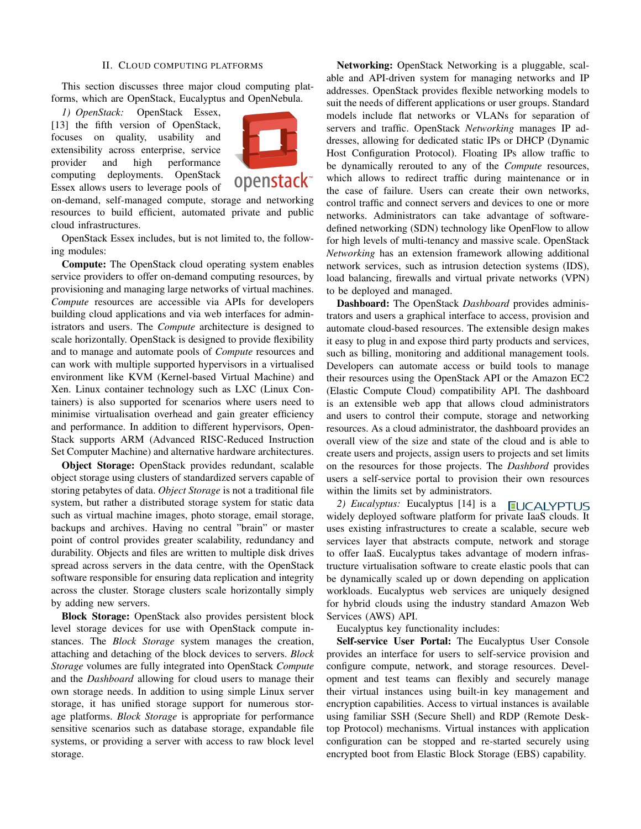### II. CLOUD COMPUTING PLATFORMS

This section discusses three major cloud computing platforms, which are OpenStack, Eucalyptus and OpenNebula.

*1) OpenStack:* OpenStack Essex, [13] the fifth version of OpenStack, focuses on quality, usability and extensibility across enterprise, service provider and high performance computing deployments. OpenStack Essex allows users to leverage pools of



on-demand, self-managed compute, storage and networking resources to build efficient, automated private and public cloud infrastructures.

OpenStack Essex includes, but is not limited to, the following modules:

Compute: The OpenStack cloud operating system enables service providers to offer on-demand computing resources, by provisioning and managing large networks of virtual machines. *Compute* resources are accessible via APIs for developers building cloud applications and via web interfaces for administrators and users. The *Compute* architecture is designed to scale horizontally. OpenStack is designed to provide flexibility and to manage and automate pools of *Compute* resources and can work with multiple supported hypervisors in a virtualised environment like KVM (Kernel-based Virtual Machine) and Xen. Linux container technology such as LXC (Linux Containers) is also supported for scenarios where users need to minimise virtualisation overhead and gain greater efficiency and performance. In addition to different hypervisors, Open-Stack supports ARM (Advanced RISC-Reduced Instruction Set Computer Machine) and alternative hardware architectures.

Object Storage: OpenStack provides redundant, scalable object storage using clusters of standardized servers capable of storing petabytes of data. *Object Storage* is not a traditional file system, but rather a distributed storage system for static data such as virtual machine images, photo storage, email storage, backups and archives. Having no central "brain" or master point of control provides greater scalability, redundancy and durability. Objects and files are written to multiple disk drives spread across servers in the data centre, with the OpenStack software responsible for ensuring data replication and integrity across the cluster. Storage clusters scale horizontally simply by adding new servers.

Block Storage: OpenStack also provides persistent block level storage devices for use with OpenStack compute instances. The *Block Storage* system manages the creation, attaching and detaching of the block devices to servers. *Block Storage* volumes are fully integrated into OpenStack *Compute* and the *Dashboard* allowing for cloud users to manage their own storage needs. In addition to using simple Linux server storage, it has unified storage support for numerous storage platforms. *Block Storage* is appropriate for performance sensitive scenarios such as database storage, expandable file systems, or providing a server with access to raw block level storage.

Networking: OpenStack Networking is a pluggable, scalable and API-driven system for managing networks and IP addresses. OpenStack provides flexible networking models to suit the needs of different applications or user groups. Standard models include flat networks or VLANs for separation of servers and traffic. OpenStack *Networking* manages IP addresses, allowing for dedicated static IPs or DHCP (Dynamic Host Configuration Protocol). Floating IPs allow traffic to be dynamically rerouted to any of the *Compute* resources, which allows to redirect traffic during maintenance or in the case of failure. Users can create their own networks, control traffic and connect servers and devices to one or more networks. Administrators can take advantage of softwaredefined networking (SDN) technology like OpenFlow to allow for high levels of multi-tenancy and massive scale. OpenStack *Networking* has an extension framework allowing additional network services, such as intrusion detection systems (IDS), load balancing, firewalls and virtual private networks (VPN) to be deployed and managed.

Dashboard: The OpenStack *Dashboard* provides administrators and users a graphical interface to access, provision and automate cloud-based resources. The extensible design makes it easy to plug in and expose third party products and services, such as billing, monitoring and additional management tools. Developers can automate access or build tools to manage their resources using the OpenStack API or the Amazon EC2 (Elastic Compute Cloud) compatibility API. The dashboard is an extensible web app that allows cloud administrators and users to control their compute, storage and networking resources. As a cloud administrator, the dashboard provides an overall view of the size and state of the cloud and is able to create users and projects, assign users to projects and set limits on the resources for those projects. The *Dashbord* provides users a self-service portal to provision their own resources within the limits set by administrators.

2) *Eucalyptus:* Eucalyptus [14] is a **EUCALYPTUS** widely deployed software platform for private IaaS clouds. It uses existing infrastructures to create a scalable, secure web services layer that abstracts compute, network and storage to offer IaaS. Eucalyptus takes advantage of modern infrastructure virtualisation software to create elastic pools that can be dynamically scaled up or down depending on application workloads. Eucalyptus web services are uniquely designed for hybrid clouds using the industry standard Amazon Web Services (AWS) API.

Eucalyptus key functionality includes:

Self-service User Portal: The Eucalyptus User Console provides an interface for users to self-service provision and configure compute, network, and storage resources. Development and test teams can flexibly and securely manage their virtual instances using built-in key management and encryption capabilities. Access to virtual instances is available using familiar SSH (Secure Shell) and RDP (Remote Desktop Protocol) mechanisms. Virtual instances with application configuration can be stopped and re-started securely using encrypted boot from Elastic Block Storage (EBS) capability.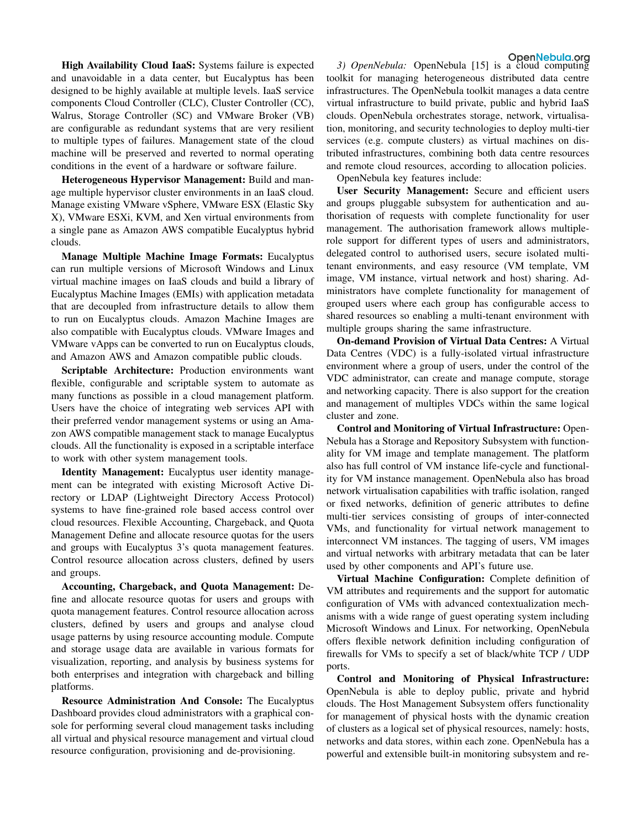High Availability Cloud IaaS: Systems failure is expected and unavoidable in a data center, but Eucalyptus has been designed to be highly available at multiple levels. IaaS service components Cloud Controller (CLC), Cluster Controller (CC), Walrus, Storage Controller (SC) and VMware Broker (VB) are configurable as redundant systems that are very resilient to multiple types of failures. Management state of the cloud machine will be preserved and reverted to normal operating conditions in the event of a hardware or software failure.

Heterogeneous Hypervisor Management: Build and manage multiple hypervisor cluster environments in an IaaS cloud. Manage existing VMware vSphere, VMware ESX (Elastic Sky X), VMware ESXi, KVM, and Xen virtual environments from a single pane as Amazon AWS compatible Eucalyptus hybrid clouds.

Manage Multiple Machine Image Formats: Eucalyptus can run multiple versions of Microsoft Windows and Linux virtual machine images on IaaS clouds and build a library of Eucalyptus Machine Images (EMIs) with application metadata that are decoupled from infrastructure details to allow them to run on Eucalyptus clouds. Amazon Machine Images are also compatible with Eucalyptus clouds. VMware Images and VMware vApps can be converted to run on Eucalyptus clouds, and Amazon AWS and Amazon compatible public clouds.

Scriptable Architecture: Production environments want flexible, configurable and scriptable system to automate as many functions as possible in a cloud management platform. Users have the choice of integrating web services API with their preferred vendor management systems or using an Amazon AWS compatible management stack to manage Eucalyptus clouds. All the functionality is exposed in a scriptable interface to work with other system management tools.

Identity Management: Eucalyptus user identity management can be integrated with existing Microsoft Active Directory or LDAP (Lightweight Directory Access Protocol) systems to have fine-grained role based access control over cloud resources. Flexible Accounting, Chargeback, and Quota Management Define and allocate resource quotas for the users and groups with Eucalyptus 3's quota management features. Control resource allocation across clusters, defined by users and groups.

Accounting, Chargeback, and Quota Management: Define and allocate resource quotas for users and groups with quota management features. Control resource allocation across clusters, defined by users and groups and analyse cloud usage patterns by using resource accounting module. Compute and storage usage data are available in various formats for visualization, reporting, and analysis by business systems for both enterprises and integration with chargeback and billing platforms.

Resource Administration And Console: The Eucalyptus Dashboard provides cloud administrators with a graphical console for performing several cloud management tasks including all virtual and physical resource management and virtual cloud resource configuration, provisioning and de-provisioning.

*3) OpenNebula:* OpenNebula [15] is a cloud computing toolkit for managing heterogeneous distributed data centre infrastructures. The OpenNebula toolkit manages a data centre virtual infrastructure to build private, public and hybrid IaaS

clouds. OpenNebula orchestrates storage, network, virtualisation, monitoring, and security technologies to deploy multi-tier services (e.g. compute clusters) as virtual machines on distributed infrastructures, combining both data centre resources and remote cloud resources, according to allocation policies.

OpenNebula key features include:

User Security Management: Secure and efficient users and groups pluggable subsystem for authentication and authorisation of requests with complete functionality for user management. The authorisation framework allows multiplerole support for different types of users and administrators, delegated control to authorised users, secure isolated multitenant environments, and easy resource (VM template, VM image, VM instance, virtual network and host) sharing. Administrators have complete functionality for management of grouped users where each group has configurable access to shared resources so enabling a multi-tenant environment with multiple groups sharing the same infrastructure.

On-demand Provision of Virtual Data Centres: A Virtual Data Centres (VDC) is a fully-isolated virtual infrastructure environment where a group of users, under the control of the VDC administrator, can create and manage compute, storage and networking capacity. There is also support for the creation and management of multiples VDCs within the same logical cluster and zone.

Control and Monitoring of Virtual Infrastructure: Open-Nebula has a Storage and Repository Subsystem with functionality for VM image and template management. The platform also has full control of VM instance life-cycle and functionality for VM instance management. OpenNebula also has broad network virtualisation capabilities with traffic isolation, ranged or fixed networks, definition of generic attributes to define multi-tier services consisting of groups of inter-connected VMs, and functionality for virtual network management to interconnect VM instances. The tagging of users, VM images and virtual networks with arbitrary metadata that can be later used by other components and API's future use.

Virtual Machine Configuration: Complete definition of VM attributes and requirements and the support for automatic configuration of VMs with advanced contextualization mechanisms with a wide range of guest operating system including Microsoft Windows and Linux. For networking, OpenNebula offers flexible network definition including configuration of firewalls for VMs to specify a set of black/white TCP / UDP ports.

Control and Monitoring of Physical Infrastructure: OpenNebula is able to deploy public, private and hybrid clouds. The Host Management Subsystem offers functionality for management of physical hosts with the dynamic creation of clusters as a logical set of physical resources, namely: hosts, networks and data stores, within each zone. OpenNebula has a powerful and extensible built-in monitoring subsystem and re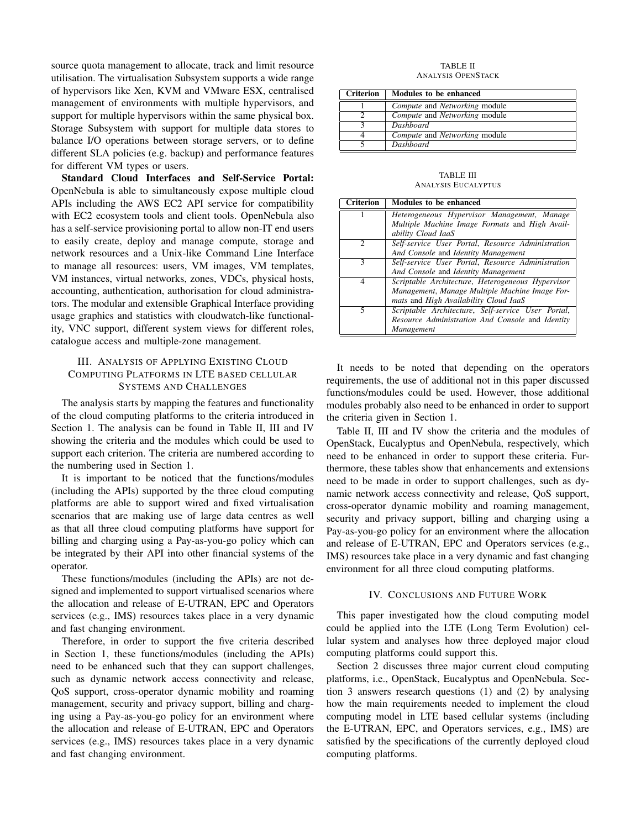source quota management to allocate, track and limit resource utilisation. The virtualisation Subsystem supports a wide range of hypervisors like Xen, KVM and VMware ESX, centralised management of environments with multiple hypervisors, and support for multiple hypervisors within the same physical box. Storage Subsystem with support for multiple data stores to balance I/O operations between storage servers, or to define different SLA policies (e.g. backup) and performance features for different VM types or users.

Standard Cloud Interfaces and Self-Service Portal: OpenNebula is able to simultaneously expose multiple cloud APIs including the AWS EC2 API service for compatibility with EC2 ecosystem tools and client tools. OpenNebula also has a self-service provisioning portal to allow non-IT end users to easily create, deploy and manage compute, storage and network resources and a Unix-like Command Line Interface to manage all resources: users, VM images, VM templates, VM instances, virtual networks, zones, VDCs, physical hosts, accounting, authentication, authorisation for cloud administrators. The modular and extensible Graphical Interface providing usage graphics and statistics with cloudwatch-like functionality, VNC support, different system views for different roles, catalogue access and multiple-zone management.

# III. ANALYSIS OF APPLYING EXISTING CLOUD COMPUTING PLATFORMS IN LTE BASED CELLULAR SYSTEMS AND CHALLENGES

The analysis starts by mapping the features and functionality of the cloud computing platforms to the criteria introduced in Section 1. The analysis can be found in Table II, III and IV showing the criteria and the modules which could be used to support each criterion. The criteria are numbered according to the numbering used in Section 1.

It is important to be noticed that the functions/modules (including the APIs) supported by the three cloud computing platforms are able to support wired and fixed virtualisation scenarios that are making use of large data centres as well as that all three cloud computing platforms have support for billing and charging using a Pay-as-you-go policy which can be integrated by their API into other financial systems of the operator.

These functions/modules (including the APIs) are not designed and implemented to support virtualised scenarios where the allocation and release of E-UTRAN, EPC and Operators services (e.g., IMS) resources takes place in a very dynamic and fast changing environment.

Therefore, in order to support the five criteria described in Section 1, these functions/modules (including the APIs) need to be enhanced such that they can support challenges, such as dynamic network access connectivity and release, QoS support, cross-operator dynamic mobility and roaming management, security and privacy support, billing and charging using a Pay-as-you-go policy for an environment where the allocation and release of E-UTRAN, EPC and Operators services (e.g., IMS) resources takes place in a very dynamic and fast changing environment.

TABLE II ANALYSIS OPENSTACK

| Criterion | Modules to be enhanced        |
|-----------|-------------------------------|
|           | Compute and Networking module |
|           | Compute and Networking module |
|           | Dashboard                     |
|           | Compute and Networking module |
|           | Dashboard                     |

TABLE III ANALYSIS EUCALYPTUS

| Criterion | Modules to be enhanced                             |
|-----------|----------------------------------------------------|
|           | Heterogeneous Hypervisor Management, Manage        |
|           | Multiple Machine Image Formats and High Avail-     |
|           | ability Cloud IaaS                                 |
|           | Self-service User Portal, Resource Administration  |
|           | And Console and Identity Management                |
|           | Self-service User Portal, Resource Administration  |
|           | And Console and Identity Management                |
|           | Scriptable Architecture, Heterogeneous Hypervisor  |
|           | Management, Manage Multiple Machine Image For-     |
|           | mats and High Availability Cloud IaaS              |
|           | Scriptable Architecture, Self-service User Portal, |
|           | Resource Administration And Console and Identity   |
|           | Management                                         |

It needs to be noted that depending on the operators requirements, the use of additional not in this paper discussed functions/modules could be used. However, those additional modules probably also need to be enhanced in order to support the criteria given in Section 1.

Table II, III and IV show the criteria and the modules of OpenStack, Eucalyptus and OpenNebula, respectively, which need to be enhanced in order to support these criteria. Furthermore, these tables show that enhancements and extensions need to be made in order to support challenges, such as dynamic network access connectivity and release, QoS support, cross-operator dynamic mobility and roaming management, security and privacy support, billing and charging using a Pay-as-you-go policy for an environment where the allocation and release of E-UTRAN, EPC and Operators services (e.g., IMS) resources take place in a very dynamic and fast changing environment for all three cloud computing platforms.

## IV. CONCLUSIONS AND FUTURE WORK

This paper investigated how the cloud computing model could be applied into the LTE (Long Term Evolution) cellular system and analyses how three deployed major cloud computing platforms could support this.

Section 2 discusses three major current cloud computing platforms, i.e., OpenStack, Eucalyptus and OpenNebula. Section 3 answers research questions (1) and (2) by analysing how the main requirements needed to implement the cloud computing model in LTE based cellular systems (including the E-UTRAN, EPC, and Operators services, e.g., IMS) are satisfied by the specifications of the currently deployed cloud computing platforms.